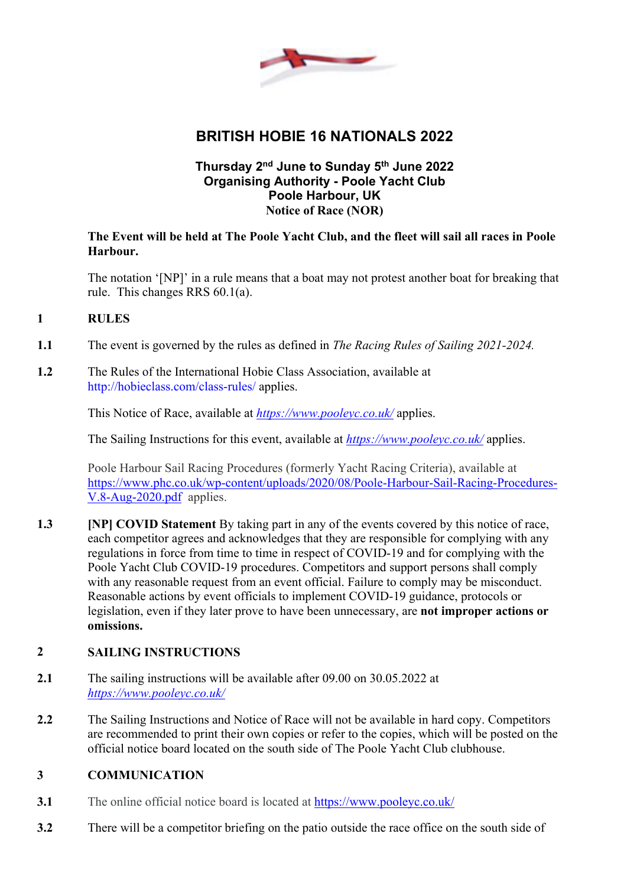

# **BRITISH HOBIE 16 NATIONALS 2022**

# **Thursday 2nd June to Sunday 5th June 2022 Organising Authority - Poole Yacht Club Poole Harbour, UK Notice of Race (NOR)**

# **The Event will be held at The Poole Yacht Club, and the fleet will sail all races in Poole Harbour.**

The notation '[NP]' in a rule means that a boat may not protest another boat for breaking that rule. This changes RRS 60.1(a).

# **1 RULES**

**1.1** The event is governed by the rules as defined in *The Racing Rules of Sailing 2021-2024.*

# **1.2** The Rules of the International Hobie Class Association, available at http://hobieclass.com/class-rules/ applies.

This Notice of Race, available at *https://www.pooleyc.co.uk/* applies.

The Sailing Instructions for this event, available at *https://www.pooleyc.co.uk/* applies.

Poole Harbour Sail Racing Procedures (formerly Yacht Racing Criteria), available at https://www.phc.co.uk/wp-content/uploads/2020/08/Poole-Harbour-Sail-Racing-Procedures-V.8-Aug-2020.pdf applies.

**1.3 [NP] COVID Statement** By taking part in any of the events covered by this notice of race, each competitor agrees and acknowledges that they are responsible for complying with any regulations in force from time to time in respect of COVID-19 and for complying with the Poole Yacht Club COVID-19 procedures. Competitors and support persons shall comply with any reasonable request from an event official. Failure to comply may be misconduct. Reasonable actions by event officials to implement COVID-19 guidance, protocols or legislation, even if they later prove to have been unnecessary, are **not improper actions or omissions.**

# **2 SAILING INSTRUCTIONS**

- **2.1** The sailing instructions will be available after 09.00 on 30.05.2022 at *https://www.pooleyc.co.uk/*
- **2.2** The Sailing Instructions and Notice of Race will not be available in hard copy. Competitors are recommended to print their own copies or refer to the copies, which will be posted on the official notice board located on the south side of The Poole Yacht Club clubhouse.

# **3 COMMUNICATION**

- **3.1** The online official notice board is located at https://www.pooleyc.co.uk/
- **3.2** There will be a competitor briefing on the patio outside the race office on the south side of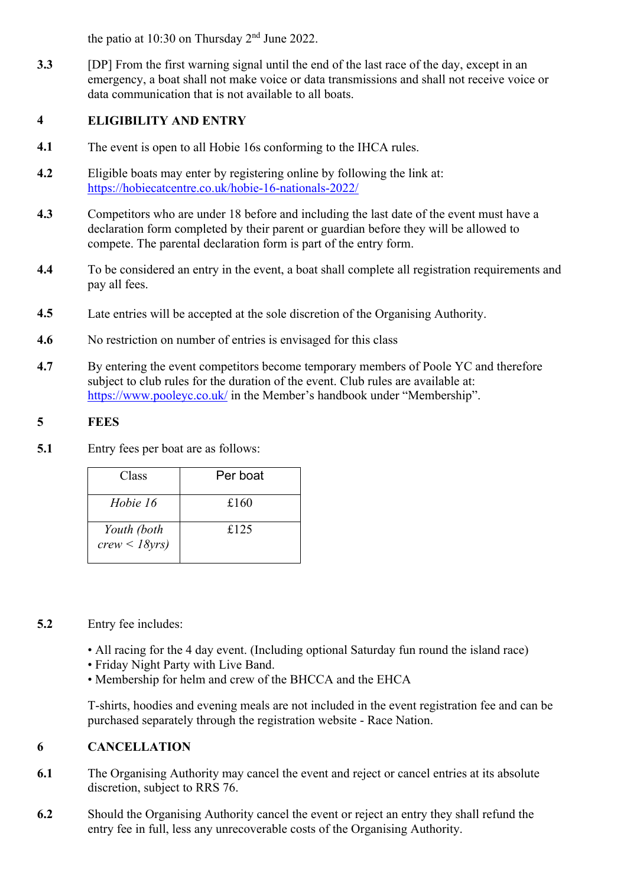the patio at 10:30 on Thursday 2nd June 2022.

**3.3** [DP] From the first warning signal until the end of the last race of the day, except in an emergency, a boat shall not make voice or data transmissions and shall not receive voice or data communication that is not available to all boats.

# **4 ELIGIBILITY AND ENTRY**

- **4.1** The event is open to all Hobie 16s conforming to the IHCA rules.
- **4.2** Eligible boats may enter by registering online by following the link at: https://hobiecatcentre.co.uk/hobie-16-nationals-2022/
- **4.3** Competitors who are under 18 before and including the last date of the event must have a declaration form completed by their parent or guardian before they will be allowed to compete. The parental declaration form is part of the entry form.
- **4.4** To be considered an entry in the event, a boat shall complete all registration requirements and pay all fees.
- **4.5** Late entries will be accepted at the sole discretion of the Organising Authority.
- **4.6** No restriction on number of entries is envisaged for this class
- **4.7** By entering the event competitors become temporary members of Poole YC and therefore subject to club rules for the duration of the event. Club rules are available at: https://www.pooleyc.co.uk/ in the Member's handbook under "Membership".

# **5 FEES**

**5.1** Entry fees per boat are as follows:

| Class                           | Per boat |
|---------------------------------|----------|
| Hobie 16                        | £160     |
| Youth (both<br>$crew < 18yrs$ ) | £125     |

# **5.2** Entry fee includes:

- All racing for the 4 day event. (Including optional Saturday fun round the island race)
- Friday Night Party with Live Band.
- Membership for helm and crew of the BHCCA and the EHCA

T-shirts, hoodies and evening meals are not included in the event registration fee and can be purchased separately through the registration website - Race Nation.

# **6 CANCELLATION**

- **6.1** The Organising Authority may cancel the event and reject or cancel entries at its absolute discretion, subject to RRS 76.
- **6.2** Should the Organising Authority cancel the event or reject an entry they shall refund the entry fee in full, less any unrecoverable costs of the Organising Authority.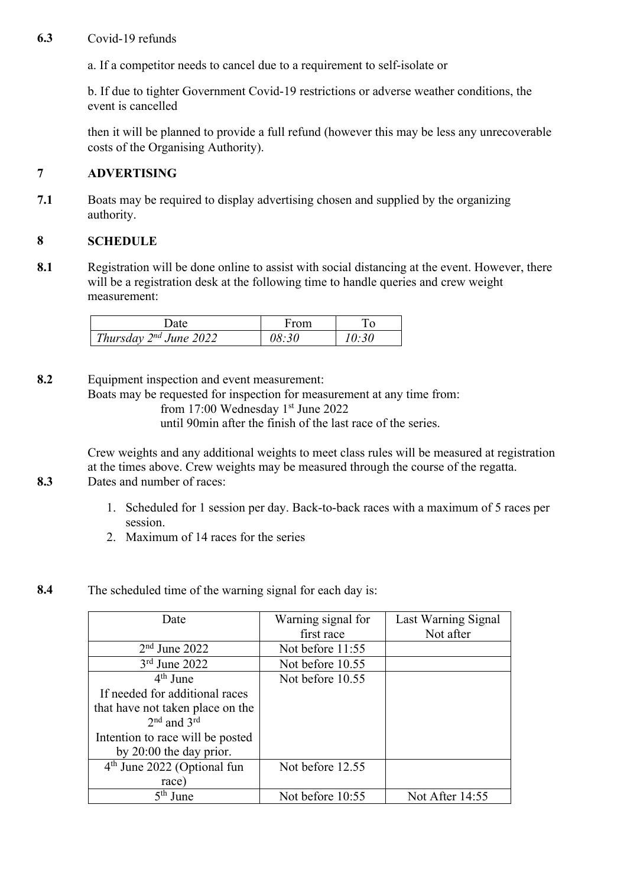### **6.3** Covid-19 refunds

a. If a competitor needs to cancel due to a requirement to self-isolate or

b. If due to tighter Government Covid-19 restrictions or adverse weather conditions, the event is cancelled

then it will be planned to provide a full refund (however this may be less any unrecoverable costs of the Organising Authority).

#### **7 ADVERTISING**

**7.1** Boats may be required to display advertising chosen and supplied by the organizing authority.

#### **8 SCHEDULE**

**8.1** Registration will be done online to assist with social distancing at the event. However, there will be a registration desk at the following time to handle queries and crew weight measurement:

| Date                        | From |  |
|-----------------------------|------|--|
| Thursday $2^{nd}$ June 2022 |      |  |

**8.2** Equipment inspection and event measurement: Boats may be requested for inspection for measurement at any time from: from 17:00 Wednesday 1<sup>st</sup> June 2022 until 90min after the finish of the last race of the series.

Crew weights and any additional weights to meet class rules will be measured at registration at the times above. Crew weights may be measured through the course of the regatta. **8.3** Dates and number of races:

- 1. Scheduled for 1 session per day. Back-to-back races with a maximum of 5 races per session.
- 2. Maximum of 14 races for the series
- **8.4** The scheduled time of the warning signal for each day is:

| Date                                    | Warning signal for<br>first race | Last Warning Signal<br>Not after |
|-----------------------------------------|----------------------------------|----------------------------------|
| $2nd$ June 2022                         | Not before 11:55                 |                                  |
|                                         |                                  |                                  |
| $3rd$ June 2022                         | Not before 10.55                 |                                  |
| $4th$ June                              | Not before 10.55                 |                                  |
| If needed for additional races          |                                  |                                  |
| that have not taken place on the        |                                  |                                  |
| $2nd$ and $3rd$                         |                                  |                                  |
| Intention to race will be posted        |                                  |                                  |
| by $20:00$ the day prior.               |                                  |                                  |
| 4 <sup>th</sup> June 2022 (Optional fun | Not before 12.55                 |                                  |
| race)                                   |                                  |                                  |
| $5th$ June                              | Not before 10:55                 | Not After 14:55                  |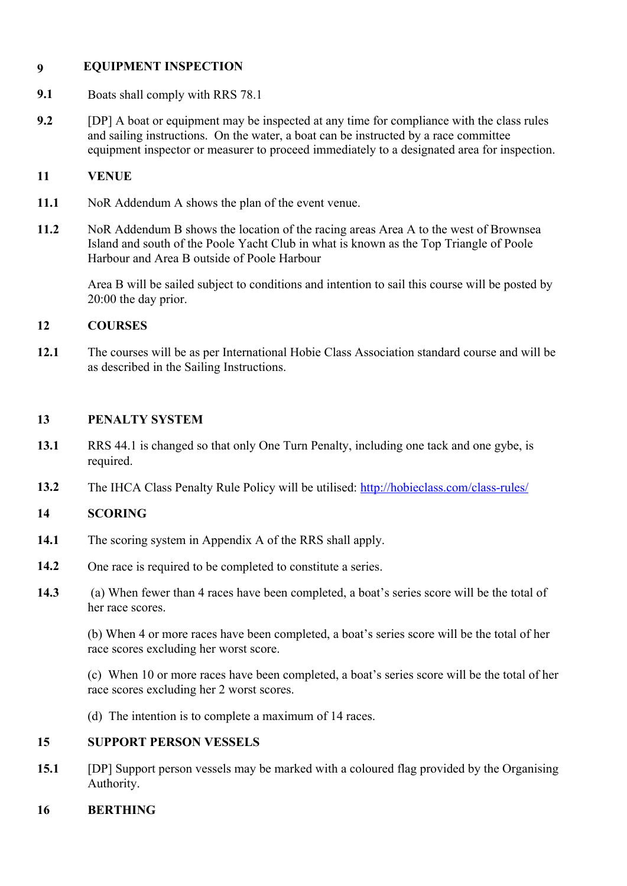# **9 EQUIPMENT INSPECTION**

- **9.1** Boats shall comply with RRS 78.1
- **9.2** [DP] A boat or equipment may be inspected at any time for compliance with the class rules and sailing instructions. On the water, a boat can be instructed by a race committee equipment inspector or measurer to proceed immediately to a designated area for inspection.

# **11 VENUE**

- **11.1** NoR Addendum A shows the plan of the event venue.
- **11.2** NoR Addendum B shows the location of the racing areas Area A to the west of Brownsea Island and south of the Poole Yacht Club in what is known as the Top Triangle of Poole Harbour and Area B outside of Poole Harbour

Area B will be sailed subject to conditions and intention to sail this course will be posted by 20:00 the day prior.

# **12 COURSES**

**12.1** The courses will be as per International Hobie Class Association standard course and will be as described in the Sailing Instructions.

# **13 PENALTY SYSTEM**

- **13.1** RRS 44.1 is changed so that only One Turn Penalty, including one tack and one gybe, is required.
- **13.2** The IHCA Class Penalty Rule Policy will be utilised: http://hobieclass.com/class-rules/

# **14 SCORING**

- **14.1** The scoring system in Appendix A of the RRS shall apply.
- 14.2 One race is required to be completed to constitute a series.
- **14.3** (a) When fewer than 4 races have been completed, a boat's series score will be the total of her race scores.

(b) When 4 or more races have been completed, a boat's series score will be the total of her race scores excluding her worst score.

(c) When 10 or more races have been completed, a boat's series score will be the total of her race scores excluding her 2 worst scores.

(d) The intention is to complete a maximum of 14 races.

# **15 SUPPORT PERSON VESSELS**

**15.1** [DP] Support person vessels may be marked with a coloured flag provided by the Organising Authority.

# **16 BERTHING**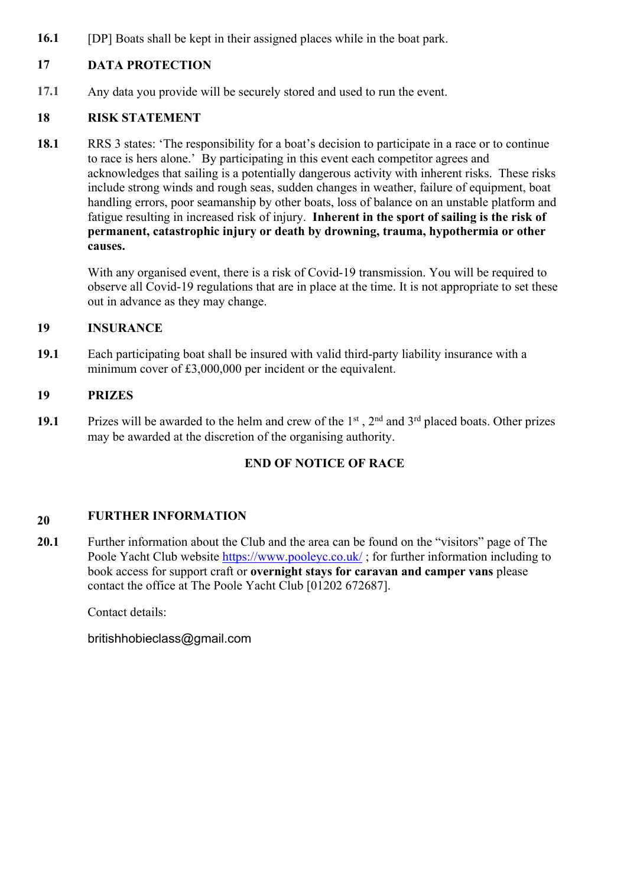**16.1** [DP] Boats shall be kept in their assigned places while in the boat park.

# **17 DATA PROTECTION**

**17.1** Any data you provide will be securely stored and used to run the event.

# **18 RISK STATEMENT**

**18.1** RRS 3 states: 'The responsibility for a boat's decision to participate in a race or to continue to race is hers alone.' By participating in this event each competitor agrees and acknowledges that sailing is a potentially dangerous activity with inherent risks. These risks include strong winds and rough seas, sudden changes in weather, failure of equipment, boat handling errors, poor seamanship by other boats, loss of balance on an unstable platform and fatigue resulting in increased risk of injury. **Inherent in the sport of sailing is the risk of permanent, catastrophic injury or death by drowning, trauma, hypothermia or other causes.**

With any organised event, there is a risk of Covid-19 transmission. You will be required to observe all Covid-19 regulations that are in place at the time. It is not appropriate to set these out in advance as they may change.

# **19 INSURANCE**

**19.1** Each participating boat shall be insured with valid third-party liability insurance with a minimum cover of £3,000,000 per incident or the equivalent.

# **19 PRIZES**

19.1 Prizes will be awarded to the helm and crew of the 1<sup>st</sup>, 2<sup>nd</sup> and 3<sup>rd</sup> placed boats. Other prizes may be awarded at the discretion of the organising authority.

# **END OF NOTICE OF RACE**

#### **20 FURTHER INFORMATION**

**20.1** Further information about the Club and the area can be found on the "visitors" page of The Poole Yacht Club website https://www.pooleyc.co.uk/; for further information including to book access for support craft or **overnight stays for caravan and camper vans** please contact the office at The Poole Yacht Club [01202 672687].

Contact details:

britishhobieclass@gmail.com